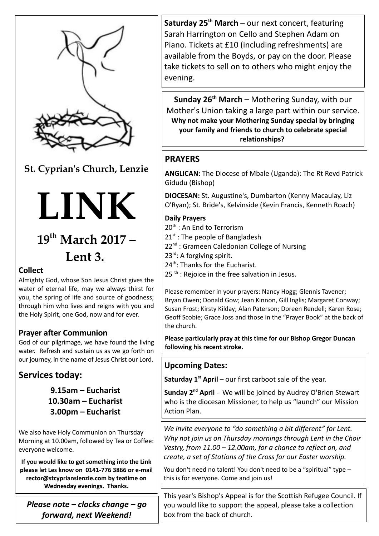

**St. Cyprian's Church, Lenzie**



# **19th March 2017 – Lent 3.**

### **Collect**

Almighty God, whose Son Jesus Christ gives the water of eternal life, may we always thirst for you, the spring of life and source of goodness; through him who lives and reigns with you and the Holy Spirit, one God, now and for ever.

### **Prayer after Communion**

God of our pilgrimage, we have found the living water. Refresh and sustain us as we go forth on our journey, in the name of Jesus Christ our Lord.

# **Services today:**

**9.15am – Eucharist 10.30am – Eucharist 3.00pm – Eucharist** 

We also have Holy Communion on Thursday Morning at 10.00am, followed by Tea or Coffee: everyone welcome.

**If you would like to get something into the Link please let Les know on 0141-776 3866 or e-mail rector@stcyprianslenzie.com by teatime on Wednesday evenings. Thanks.**

*Please note – clocks change – go forward, next Weekend!*

**Saturday 25th March** – our next concert, featuring Sarah Harrington on Cello and Stephen Adam on Piano. Tickets at £10 (including refreshments) are available from the Boyds, or pay on the door. Please take tickets to sell on to others who might enjoy the evening.

**Sunday 26th March** – Mothering Sunday, with our Mother's Union taking a large part within our service. **Why not make your Mothering Sunday special by bringing your family and friends to church to celebrate special relationships?** 

## **PRAYERS**

**ANGLICAN:** The Diocese of Mbale (Uganda): The Rt Revd Patrick Gidudu (Bishop)

**DIOCESAN:** St. Augustine's, Dumbarton (Kenny Macaulay, Liz O'Ryan); St. Bride's, Kelvinside (Kevin Francis, Kenneth Roach)

#### **Daily Prayers**

- 20<sup>th</sup>: An End to Terrorism
- $21<sup>st</sup>$ : The people of Bangladesh
- 22<sup>nd</sup> : Grameen Caledonian College of Nursing
- 23<sup>rd</sup>: A forgiving spirit.
- 24<sup>th</sup>: Thanks for the Eucharist.
- $25$ <sup>th</sup>: Rejoice in the free salvation in Jesus.

Please remember in your prayers: Nancy Hogg; Glennis Tavener; Bryan Owen; Donald Gow; Jean Kinnon, Gill Inglis; Margaret Conway; Susan Frost; Kirsty Kilday; Alan Paterson; Doreen Rendell; Karen Rose; Geoff Scobie; Grace Joss and those in the "Prayer Book" at the back of the church.

**Please particularly pray at this time for our Bishop Gregor Duncan following his recent stroke.**

### **Upcoming Dates:**

**Saturday 1st April** – our first carboot sale of the year.

**Sunday 2nd April** - We will be joined by Audrey O'Brien Stewart who is the diocesan Missioner, to help us "launch" our Mission Action Plan.

*We invite everyone to "do something a bit different" for Lent. Why not join us on Thursday mornings through Lent in the Choir Vestry, from 11.00 – 12.00am, for a chance to reflect on, and create, a set of Stations of the Cross for our Easter worship.*

You don't need no talent! You don't need to be a "spiritual" type this is for everyone. Come and join us!

This year's Bishop's Appeal is for the Scottish Refugee Council. If you would like to support the appeal, please take a collection box from the back of church.